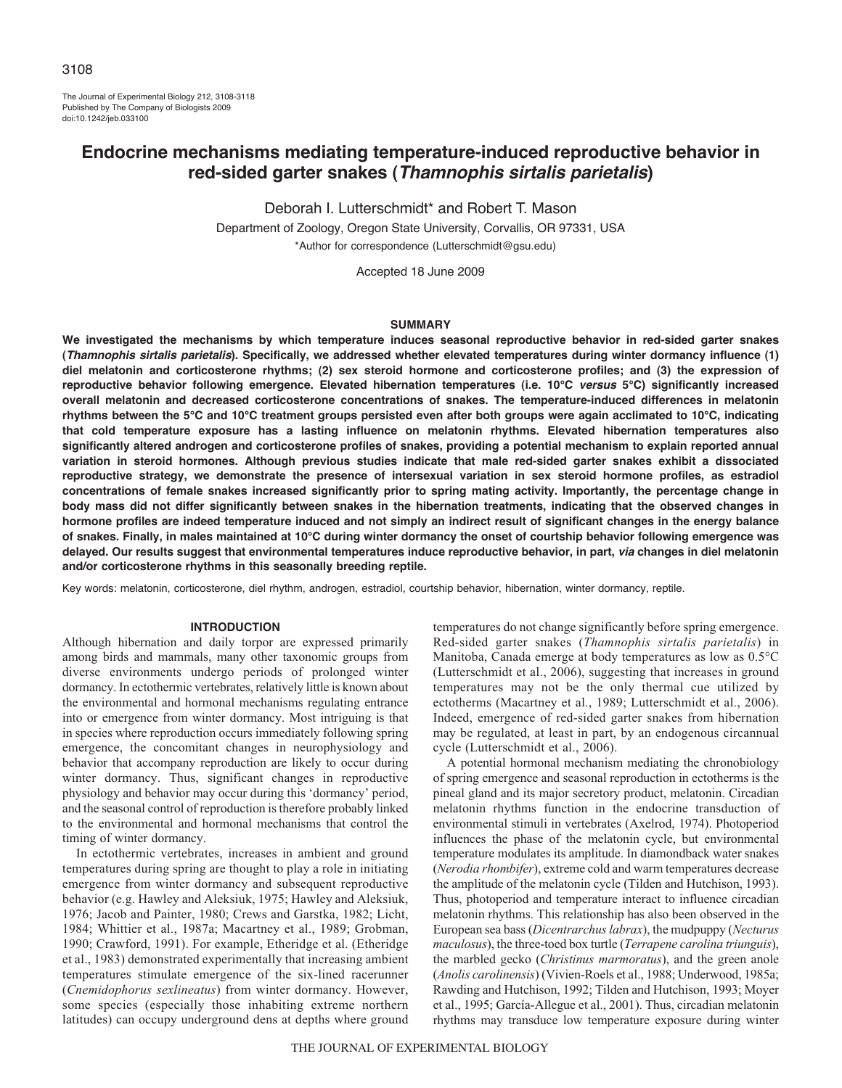The Journal of Experimental Biology 212, 3108-3118 Published by The Company of Biologists 2009 doi:10.1242/jeb.033100

# **Endocrine mechanisms mediating temperature-induced reproductive behavior in red-sided garter snakes (***Thamnophis sirtalis parietalis***)**

Deborah I. Lutterschmidt\* and Robert T. Mason

Department of Zoology, Oregon State University, Corvallis, OR 97331, USA \*Author for correspondence (Lutterschmidt@gsu.edu)

Accepted 18 June 2009

## **SUMMARY**

**We investigated the mechanisms by which temperature induces seasonal reproductive behavior in red-sided garter snakes (***Thamnophis sirtalis parietalis***). Specifically, we addressed whether elevated temperatures during winter dormancy influence (1) diel melatonin and corticosterone rhythms; (2) sex steroid hormone and corticosterone profiles; and (3) the expression of reproductive behavior following emergence. Elevated hibernation temperatures (i.e. 10°C** *versus* **5°C) significantly increased overall melatonin and decreased corticosterone concentrations of snakes. The temperature-induced differences in melatonin rhythms between the 5°C and 10°C treatment groups persisted even after both groups were again acclimated to 10°C, indicating that cold temperature exposure has a lasting influence on melatonin rhythms. Elevated hibernation temperatures also significantly altered androgen and corticosterone profiles of snakes, providing a potential mechanism to explain reported annual variation in steroid hormones. Although previous studies indicate that male red-sided garter snakes exhibit a dissociated reproductive strategy, we demonstrate the presence of intersexual variation in sex steroid hormone profiles, as estradiol concentrations of female snakes increased significantly prior to spring mating activity. Importantly, the percentage change in body mass did not differ significantly between snakes in the hibernation treatments, indicating that the observed changes in hormone profiles are indeed temperature induced and not simply an indirect result of significant changes in the energy balance of snakes. Finally, in males maintained at 10°C during winter dormancy the onset of courtship behavior following emergence was delayed. Our results suggest that environmental temperatures induce reproductive behavior, in part,** *via* **changes in diel melatonin and/or corticosterone rhythms in this seasonally breeding reptile.**

Key words: melatonin, corticosterone, diel rhythm, androgen, estradiol, courtship behavior, hibernation, winter dormancy, reptile.

#### **INTRODUCTION**

Although hibernation and daily torpor are expressed primarily among birds and mammals, many other taxonomic groups from diverse environments undergo periods of prolonged winter dormancy. In ectothermic vertebrates, relatively little is known about the environmental and hormonal mechanisms regulating entrance into or emergence from winter dormancy. Most intriguing is that in species where reproduction occurs immediately following spring emergence, the concomitant changes in neurophysiology and behavior that accompany reproduction are likely to occur during winter dormancy. Thus, significant changes in reproductive physiology and behavior may occur during this 'dormancy' period, and the seasonal control of reproduction is therefore probably linked to the environmental and hormonal mechanisms that control the timing of winter dormancy.

In ectothermic vertebrates, increases in ambient and ground temperatures during spring are thought to play a role in initiating emergence from winter dormancy and subsequent reproductive behavior (e.g. Hawley and Aleksiuk, 1975; Hawley and Aleksiuk, 1976; Jacob and Painter, 1980; Crews and Garstka, 1982; Licht, 1984; Whittier et al., 1987a; Macartney et al., 1989; Grobman, 1990; Crawford, 1991). For example, Etheridge et al. (Etheridge et al., 1983) demonstrated experimentally that increasing ambient temperatures stimulate emergence of the six-lined racerunner (*Cnemidophorus sexlineatus*) from winter dormancy. However, some species (especially those inhabiting extreme northern latitudes) can occupy underground dens at depths where ground temperatures do not change significantly before spring emergence. Red-sided garter snakes (*Thamnophis sirtalis parietalis*) in Manitoba, Canada emerge at body temperatures as low as 0.5°C (Lutterschmidt et al., 2006), suggesting that increases in ground temperatures may not be the only thermal cue utilized by ectotherms (Macartney et al., 1989; Lutterschmidt et al., 2006). Indeed, emergence of red-sided garter snakes from hibernation may be regulated, at least in part, by an endogenous circannual cycle (Lutterschmidt et al., 2006).

A potential hormonal mechanism mediating the chronobiology of spring emergence and seasonal reproduction in ectotherms is the pineal gland and its major secretory product, melatonin. Circadian melatonin rhythms function in the endocrine transduction of environmental stimuli in vertebrates (Axelrod, 1974). Photoperiod influences the phase of the melatonin cycle, but environmental temperature modulates its amplitude. In diamondback water snakes (*Nerodia rhombifer*), extreme cold and warm temperatures decrease the amplitude of the melatonin cycle (Tilden and Hutchison, 1993). Thus, photoperiod and temperature interact to influence circadian melatonin rhythms. This relationship has also been observed in the European sea bass (*Dicentrarchus labrax*), the mudpuppy (*Necturus maculosus*), the three-toed box turtle (*Terrapene carolina triunguis*), the marbled gecko (*Christinus marmoratus*), and the green anole (*Anolis carolinensis*) (Vivien-Roels et al., 1988; Underwood, 1985a; Rawding and Hutchison, 1992; Tilden and Hutchison, 1993; Moyer et al., 1995; García-Allegue et al., 2001). Thus, circadian melatonin rhythms may transduce low temperature exposure during winter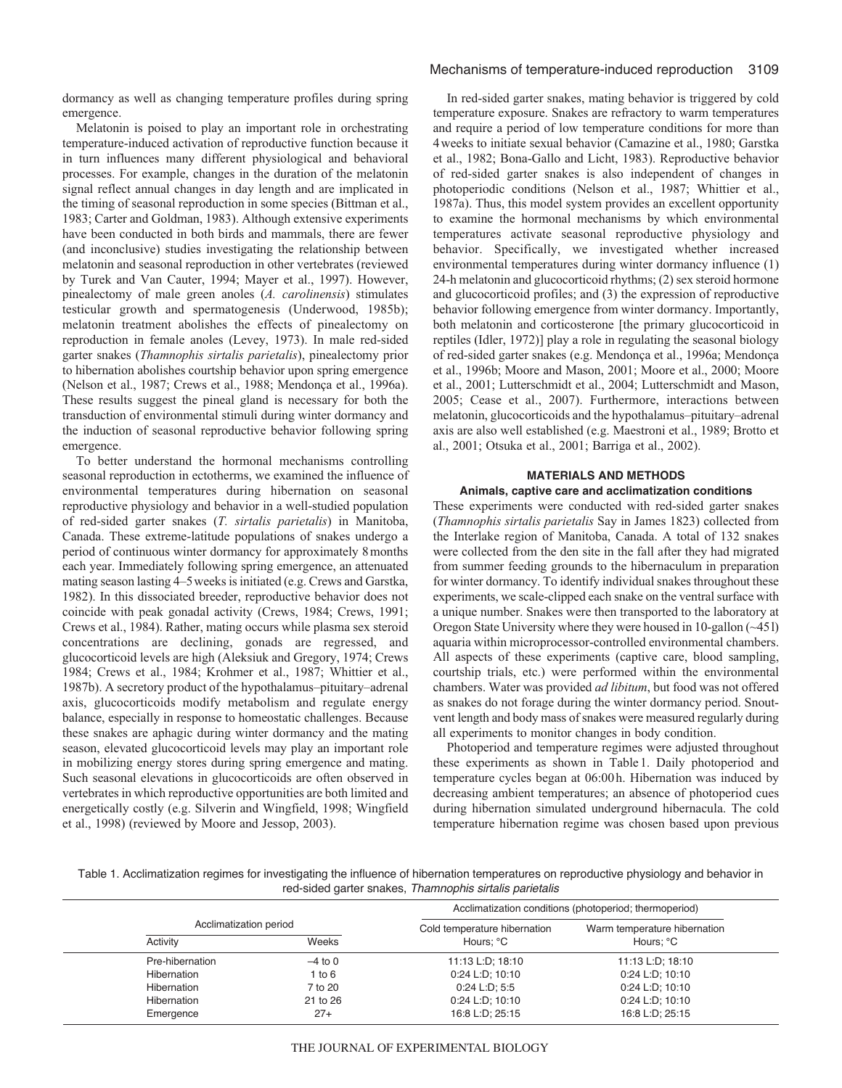dormancy as well as changing temperature profiles during spring emergence.

Melatonin is poised to play an important role in orchestrating temperature-induced activation of reproductive function because it in turn influences many different physiological and behavioral processes. For example, changes in the duration of the melatonin signal reflect annual changes in day length and are implicated in the timing of seasonal reproduction in some species (Bittman et al., 1983; Carter and Goldman, 1983). Although extensive experiments have been conducted in both birds and mammals, there are fewer (and inconclusive) studies investigating the relationship between melatonin and seasonal reproduction in other vertebrates (reviewed by Turek and Van Cauter, 1994; Mayer et al., 1997). However, pinealectomy of male green anoles (*A. carolinensis*) stimulates testicular growth and spermatogenesis (Underwood, 1985b); melatonin treatment abolishes the effects of pinealectomy on reproduction in female anoles (Levey, 1973). In male red-sided garter snakes (*Thamnophis sirtalis parietalis*), pinealectomy prior to hibernation abolishes courtship behavior upon spring emergence (Nelson et al., 1987; Crews et al., 1988; Mendonça et al., 1996a). These results suggest the pineal gland is necessary for both the transduction of environmental stimuli during winter dormancy and the induction of seasonal reproductive behavior following spring emergence.

To better understand the hormonal mechanisms controlling seasonal reproduction in ectotherms, we examined the influence of environmental temperatures during hibernation on seasonal reproductive physiology and behavior in a well-studied population of red-sided garter snakes (*T. sirtalis parietalis*) in Manitoba, Canada. These extreme-latitude populations of snakes undergo a period of continuous winter dormancy for approximately 8months each year. Immediately following spring emergence, an attenuated mating season lasting 4–5weeks is initiated (e.g. Crews and Garstka, 1982). In this dissociated breeder, reproductive behavior does not coincide with peak gonadal activity (Crews, 1984; Crews, 1991; Crews et al., 1984). Rather, mating occurs while plasma sex steroid concentrations are declining, gonads are regressed, and glucocorticoid levels are high (Aleksiuk and Gregory, 1974; Crews 1984; Crews et al., 1984; Krohmer et al., 1987; Whittier et al., 1987b). A secretory product of the hypothalamus–pituitary–adrenal axis, glucocorticoids modify metabolism and regulate energy balance, especially in response to homeostatic challenges. Because these snakes are aphagic during winter dormancy and the mating season, elevated glucocorticoid levels may play an important role in mobilizing energy stores during spring emergence and mating. Such seasonal elevations in glucocorticoids are often observed in vertebrates in which reproductive opportunities are both limited and energetically costly (e.g. Silverin and Wingfield, 1998; Wingfield et al., 1998) (reviewed by Moore and Jessop, 2003).

In red-sided garter snakes, mating behavior is triggered by cold temperature exposure. Snakes are refractory to warm temperatures and require a period of low temperature conditions for more than 4weeks to initiate sexual behavior (Camazine et al., 1980; Garstka et al., 1982; Bona-Gallo and Licht, 1983). Reproductive behavior of red-sided garter snakes is also independent of changes in photoperiodic conditions (Nelson et al., 1987; Whittier et al., 1987a). Thus, this model system provides an excellent opportunity to examine the hormonal mechanisms by which environmental temperatures activate seasonal reproductive physiology and behavior. Specifically, we investigated whether increased environmental temperatures during winter dormancy influence (1) 24-h melatonin and glucocorticoid rhythms; (2) sex steroid hormone and glucocorticoid profiles; and (3) the expression of reproductive behavior following emergence from winter dormancy. Importantly, both melatonin and corticosterone [the primary glucocorticoid in reptiles (Idler, 1972)] play a role in regulating the seasonal biology of red-sided garter snakes (e.g. Mendonça et al., 1996a; Mendonça et al., 1996b; Moore and Mason, 2001; Moore et al., 2000; Moore et al., 2001; Lutterschmidt et al., 2004; Lutterschmidt and Mason, 2005; Cease et al., 2007). Furthermore, interactions between melatonin, glucocorticoids and the hypothalamus–pituitary–adrenal axis are also well established (e.g. Maestroni et al., 1989; Brotto et al., 2001; Otsuka et al., 2001; Barriga et al., 2002).

# **MATERIALS AND METHODS**

## **Animals, captive care and acclimatization conditions**

These experiments were conducted with red-sided garter snakes (*Thamnophis sirtalis parietalis* Say in James 1823) collected from the Interlake region of Manitoba, Canada. A total of 132 snakes were collected from the den site in the fall after they had migrated from summer feeding grounds to the hibernaculum in preparation for winter dormancy. To identify individual snakes throughout these experiments, we scale-clipped each snake on the ventral surface with a unique number. Snakes were then transported to the laboratory at Oregon State University where they were housed in 10-gallon (~45l) aquaria within microprocessor-controlled environmental chambers. All aspects of these experiments (captive care, blood sampling, courtship trials, etc.) were performed within the environmental chambers. Water was provided *ad libitum*, but food was not offered as snakes do not forage during the winter dormancy period. Snoutvent length and body mass of snakes were measured regularly during all experiments to monitor changes in body condition.

Photoperiod and temperature regimes were adjusted throughout these experiments as shown in Table1. Daily photoperiod and temperature cycles began at 06:00h. Hibernation was induced by decreasing ambient temperatures; an absence of photoperiod cues during hibernation simulated underground hibernacula. The cold temperature hibernation regime was chosen based upon previous

Table 1. Acclimatization regimes for investigating the influence of hibernation temperatures on reproductive physiology and behavior in red-sided garter snakes, Thamnophis sirtalis parietalis

|                        |           | Acclimatization conditions (photoperiod; thermoperiod) |                              |  |
|------------------------|-----------|--------------------------------------------------------|------------------------------|--|
| Acclimatization period |           | Cold temperature hibernation                           | Warm temperature hibernation |  |
| Activity               | Weeks     | Hours: °C                                              | Hours: °C                    |  |
| Pre-hibernation        | $-4$ to 0 | 11:13 L:D: 18:10                                       | 11:13 L:D; 18:10             |  |
| Hibernation            | 1 to $6$  | $0:24$ L:D; 10:10                                      | $0:24$ L:D; 10:10            |  |
| Hibernation            | 7 to 20   | $0:24$ L:D: 5:5                                        | $0:24$ L:D: 10:10            |  |
| Hibernation            | 21 to 26  | $0:24$ L:D; 10:10                                      | $0:24$ L:D; 10:10            |  |
| Emergence              | $27+$     | 16:8 L:D: 25:15                                        | 16:8 L:D: 25:15              |  |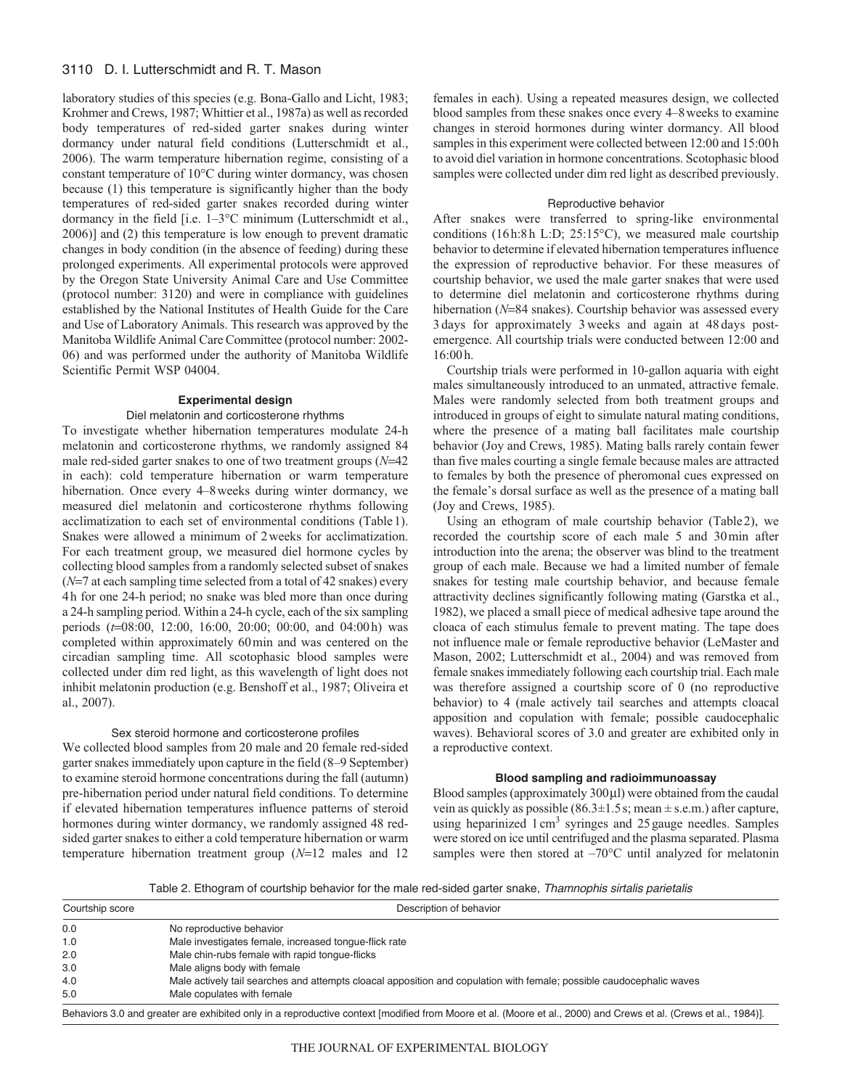# 3110 D. I. Lutterschmidt and R. T. Mason

laboratory studies of this species (e.g. Bona-Gallo and Licht, 1983; Krohmer and Crews, 1987; Whittier et al., 1987a) as well as recorded body temperatures of red-sided garter snakes during winter dormancy under natural field conditions (Lutterschmidt et al., 2006). The warm temperature hibernation regime, consisting of a constant temperature of 10°C during winter dormancy, was chosen because (1) this temperature is significantly higher than the body temperatures of red-sided garter snakes recorded during winter dormancy in the field [i.e. 1–3°C minimum (Lutterschmidt et al., 2006)] and (2) this temperature is low enough to prevent dramatic changes in body condition (in the absence of feeding) during these prolonged experiments. All experimental protocols were approved by the Oregon State University Animal Care and Use Committee (protocol number: 3120) and were in compliance with guidelines established by the National Institutes of Health Guide for the Care and Use of Laboratory Animals. This research was approved by the Manitoba Wildlife Animal Care Committee (protocol number: 2002- 06) and was performed under the authority of Manitoba Wildlife Scientific Permit WSP 04004.

## **Experimental design**

## Diel melatonin and corticosterone rhythms

To investigate whether hibernation temperatures modulate 24-h melatonin and corticosterone rhythms, we randomly assigned 84 male red-sided garter snakes to one of two treatment groups (*N*=42 in each): cold temperature hibernation or warm temperature hibernation. Once every 4–8 weeks during winter dormancy, we measured diel melatonin and corticosterone rhythms following acclimatization to each set of environmental conditions (Table1). Snakes were allowed a minimum of 2weeks for acclimatization. For each treatment group, we measured diel hormone cycles by collecting blood samples from a randomly selected subset of snakes (*N*=7 at each sampling time selected from a total of 42 snakes) every 4h for one 24-h period; no snake was bled more than once during a 24-h sampling period. Within a 24-h cycle, each of the six sampling periods (*t*=08:00, 12:00, 16:00, 20:00; 00:00, and 04:00h) was completed within approximately 60min and was centered on the circadian sampling time. All scotophasic blood samples were collected under dim red light, as this wavelength of light does not inhibit melatonin production (e.g. Benshoff et al., 1987; Oliveira et al., 2007).

#### Sex steroid hormone and corticosterone profiles

We collected blood samples from 20 male and 20 female red-sided garter snakes immediately upon capture in the field (8–9 September) to examine steroid hormone concentrations during the fall (autumn) pre-hibernation period under natural field conditions. To determine if elevated hibernation temperatures influence patterns of steroid hormones during winter dormancy, we randomly assigned 48 redsided garter snakes to either a cold temperature hibernation or warm temperature hibernation treatment group (*N*=12 males and 12

females in each). Using a repeated measures design, we collected blood samples from these snakes once every 4–8weeks to examine changes in steroid hormones during winter dormancy. All blood samples in this experiment were collected between 12:00 and 15:00h to avoid diel variation in hormone concentrations. Scotophasic blood samples were collected under dim red light as described previously.

#### Reproductive behavior

After snakes were transferred to spring-like environmental conditions (16h:8h L:D; 25:15°C), we measured male courtship behavior to determine if elevated hibernation temperatures influence the expression of reproductive behavior. For these measures of courtship behavior, we used the male garter snakes that were used to determine diel melatonin and corticosterone rhythms during hibernation (*N*=84 snakes). Courtship behavior was assessed every 3 days for approximately 3 weeks and again at 48 days postemergence. All courtship trials were conducted between 12:00 and 16:00h.

Courtship trials were performed in 10-gallon aquaria with eight males simultaneously introduced to an unmated, attractive female. Males were randomly selected from both treatment groups and introduced in groups of eight to simulate natural mating conditions, where the presence of a mating ball facilitates male courtship behavior (Joy and Crews, 1985). Mating balls rarely contain fewer than five males courting a single female because males are attracted to females by both the presence of pheromonal cues expressed on the female's dorsal surface as well as the presence of a mating ball (Joy and Crews, 1985).

Using an ethogram of male courtship behavior (Table2), we recorded the courtship score of each male 5 and 30min after introduction into the arena; the observer was blind to the treatment group of each male. Because we had a limited number of female snakes for testing male courtship behavior, and because female attractivity declines significantly following mating (Garstka et al., 1982), we placed a small piece of medical adhesive tape around the cloaca of each stimulus female to prevent mating. The tape does not influence male or female reproductive behavior (LeMaster and Mason, 2002; Lutterschmidt et al., 2004) and was removed from female snakes immediately following each courtship trial. Each male was therefore assigned a courtship score of 0 (no reproductive behavior) to 4 (male actively tail searches and attempts cloacal apposition and copulation with female; possible caudocephalic waves). Behavioral scores of 3.0 and greater are exhibited only in a reproductive context.

## **Blood sampling and radioimmunoassay**

Blood samples (approximately 300μl) were obtained from the caudal vein as quickly as possible  $(86.3 \pm 1.5 \text{ s}; \text{mean} \pm \text{s.e.m.})$  after capture, using heparinized  $1 \text{ cm}^3$  syringes and 25 gauge needles. Samples were stored on ice until centrifuged and the plasma separated. Plasma samples were then stored at  $-70^{\circ}$ C until analyzed for melatonin

Table 2. Ethogram of courtship behavior for the male red-sided garter snake, Thamnophis sirtalis parietalis

| Courtship score | Description of behavior                                                                                                                                       |  |  |
|-----------------|---------------------------------------------------------------------------------------------------------------------------------------------------------------|--|--|
| 0.0             | No reproductive behavior                                                                                                                                      |  |  |
| 1.0             | Male investigates female, increased tonque-flick rate                                                                                                         |  |  |
| 2.0             | Male chin-rubs female with rapid tonque-flicks                                                                                                                |  |  |
| 3.0             | Male aligns body with female                                                                                                                                  |  |  |
| 4.0             | Male actively tail searches and attempts cloacal apposition and copulation with female; possible caudocephalic waves                                          |  |  |
| 5.0             | Male copulates with female                                                                                                                                    |  |  |
|                 | Deboubare 0.0 and meeter are subjected anti-in a memorial setting anti-official from Mone at al. (Mone at al. 0000) and Currica at al. (Currica at al. 4004)] |  |  |

Behaviors 3.0 and greater are exhibited only in a reproductive context [modified from Moore et al. (Moore et al., 2000) and Crews et al. (Crews et al., 1984)].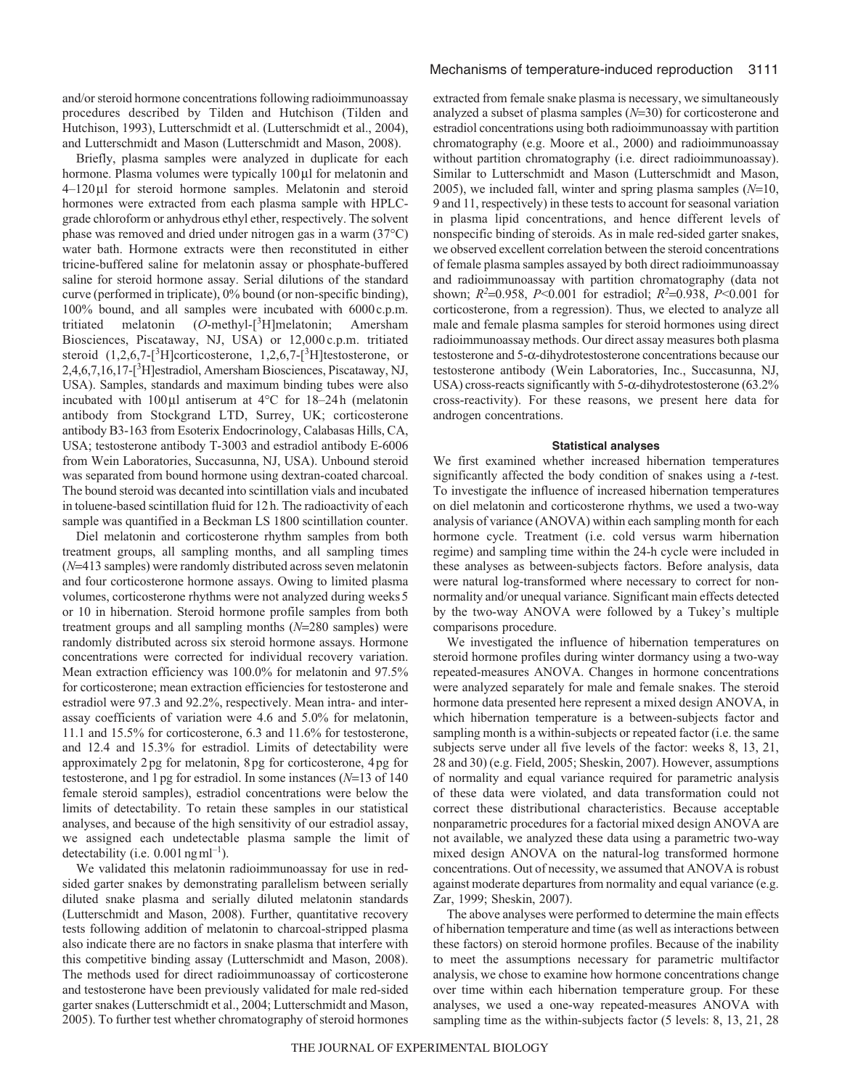and/or steroid hormone concentrations following radioimmunoassay procedures described by Tilden and Hutchison (Tilden and Hutchison, 1993), Lutterschmidt et al. (Lutterschmidt et al., 2004), and Lutterschmidt and Mason (Lutterschmidt and Mason, 2008).

Briefly, plasma samples were analyzed in duplicate for each hormone. Plasma volumes were typically 100μl for melatonin and 4–120μl for steroid hormone samples. Melatonin and steroid hormones were extracted from each plasma sample with HPLCgrade chloroform or anhydrous ethyl ether, respectively. The solvent phase was removed and dried under nitrogen gas in a warm (37°C) water bath. Hormone extracts were then reconstituted in either tricine-buffered saline for melatonin assay or phosphate-buffered saline for steroid hormone assay. Serial dilutions of the standard curve (performed in triplicate), 0% bound (or non-specific binding), 100% bound, and all samples were incubated with 6000c.p.m. tritiated melatonin (*O*-methyl-[<sup>3</sup> H]melatonin; Amersham Biosciences, Piscataway, NJ, USA) or 12,000 c.p.m. tritiated steroid  $(1,2,6,7-[<sup>3</sup>H]$ corticosterone, 1,2,6,7-[<sup>3</sup>H]testosterone, or 2,4,6,7,16,17-[3 H]estradiol, Amersham Biosciences, Piscataway, NJ, USA). Samples, standards and maximum binding tubes were also incubated with 100μl antiserum at 4°C for 18–24h (melatonin antibody from Stockgrand LTD, Surrey, UK; corticosterone antibody B3-163 from Esoterix Endocrinology, Calabasas Hills, CA, USA; testosterone antibody T-3003 and estradiol antibody E-6006 from Wein Laboratories, Succasunna, NJ, USA). Unbound steroid was separated from bound hormone using dextran-coated charcoal. The bound steroid was decanted into scintillation vials and incubated in toluene-based scintillation fluid for 12h. The radioactivity of each sample was quantified in a Beckman LS 1800 scintillation counter.

Diel melatonin and corticosterone rhythm samples from both treatment groups, all sampling months, and all sampling times (*N*=413 samples) were randomly distributed across seven melatonin and four corticosterone hormone assays. Owing to limited plasma volumes, corticosterone rhythms were not analyzed during weeks5 or 10 in hibernation. Steroid hormone profile samples from both treatment groups and all sampling months (*N*=280 samples) were randomly distributed across six steroid hormone assays. Hormone concentrations were corrected for individual recovery variation. Mean extraction efficiency was 100.0% for melatonin and 97.5% for corticosterone; mean extraction efficiencies for testosterone and estradiol were 97.3 and 92.2%, respectively. Mean intra- and interassay coefficients of variation were 4.6 and 5.0% for melatonin, 11.1 and 15.5% for corticosterone, 6.3 and 11.6% for testosterone, and 12.4 and 15.3% for estradiol. Limits of detectability were approximately 2pg for melatonin, 8pg for corticosterone, 4pg for testosterone, and 1pg for estradiol. In some instances (*N*=13 of 140 female steroid samples), estradiol concentrations were below the limits of detectability. To retain these samples in our statistical analyses, and because of the high sensitivity of our estradiol assay, we assigned each undetectable plasma sample the limit of detectability (i.e.  $0.001$  ng ml<sup>-1</sup>).

We validated this melatonin radioimmunoassay for use in redsided garter snakes by demonstrating parallelism between serially diluted snake plasma and serially diluted melatonin standards (Lutterschmidt and Mason, 2008). Further, quantitative recovery tests following addition of melatonin to charcoal-stripped plasma also indicate there are no factors in snake plasma that interfere with this competitive binding assay (Lutterschmidt and Mason, 2008). The methods used for direct radioimmunoassay of corticosterone and testosterone have been previously validated for male red-sided garter snakes (Lutterschmidt et al., 2004; Lutterschmidt and Mason, 2005). To further test whether chromatography of steroid hormones extracted from female snake plasma is necessary, we simultaneously analyzed a subset of plasma samples (*N*=30) for corticosterone and estradiol concentrations using both radioimmunoassay with partition chromatography (e.g. Moore et al., 2000) and radioimmunoassay without partition chromatography (i.e. direct radioimmunoassay). Similar to Lutterschmidt and Mason (Lutterschmidt and Mason, 2005), we included fall, winter and spring plasma samples (*N*=10, 9 and 11, respectively) in these tests to account for seasonal variation in plasma lipid concentrations, and hence different levels of nonspecific binding of steroids. As in male red-sided garter snakes, we observed excellent correlation between the steroid concentrations of female plasma samples assayed by both direct radioimmunoassay and radioimmunoassay with partition chromatography (data not shown;  $R^2$ =0.958,  $P$ <0.001 for estradiol;  $R^2$ =0.938,  $P$ <0.001 for corticosterone, from a regression). Thus, we elected to analyze all male and female plasma samples for steroid hormones using direct radioimmunoassay methods. Our direct assay measures both plasma testosterone and 5-α-dihydrotestosterone concentrations because our testosterone antibody (Wein Laboratories, Inc., Succasunna, NJ, USA) cross-reacts significantly with 5-α-dihydrotestosterone (63.2% cross-reactivity). For these reasons, we present here data for androgen concentrations.

#### **Statistical analyses**

We first examined whether increased hibernation temperatures significantly affected the body condition of snakes using a *t*-test. To investigate the influence of increased hibernation temperatures on diel melatonin and corticosterone rhythms, we used a two-way analysis of variance (ANOVA) within each sampling month for each hormone cycle. Treatment (i.e. cold versus warm hibernation regime) and sampling time within the 24-h cycle were included in these analyses as between-subjects factors. Before analysis, data were natural log-transformed where necessary to correct for nonnormality and/or unequal variance. Significant main effects detected by the two-way ANOVA were followed by a Tukey's multiple comparisons procedure.

We investigated the influence of hibernation temperatures on steroid hormone profiles during winter dormancy using a two-way repeated-measures ANOVA. Changes in hormone concentrations were analyzed separately for male and female snakes. The steroid hormone data presented here represent a mixed design ANOVA, in which hibernation temperature is a between-subjects factor and sampling month is a within-subjects or repeated factor (i.e. the same subjects serve under all five levels of the factor: weeks 8, 13, 21, 28 and 30) (e.g. Field, 2005; Sheskin, 2007). However, assumptions of normality and equal variance required for parametric analysis of these data were violated, and data transformation could not correct these distributional characteristics. Because acceptable nonparametric procedures for a factorial mixed design ANOVA are not available, we analyzed these data using a parametric two-way mixed design ANOVA on the natural-log transformed hormone concentrations. Out of necessity, we assumed that ANOVA is robust against moderate departures from normality and equal variance (e.g. Zar, 1999; Sheskin, 2007).

The above analyses were performed to determine the main effects of hibernation temperature and time (as well as interactions between these factors) on steroid hormone profiles. Because of the inability to meet the assumptions necessary for parametric multifactor analysis, we chose to examine how hormone concentrations change over time within each hibernation temperature group. For these analyses, we used a one-way repeated-measures ANOVA with sampling time as the within-subjects factor (5 levels: 8, 13, 21, 28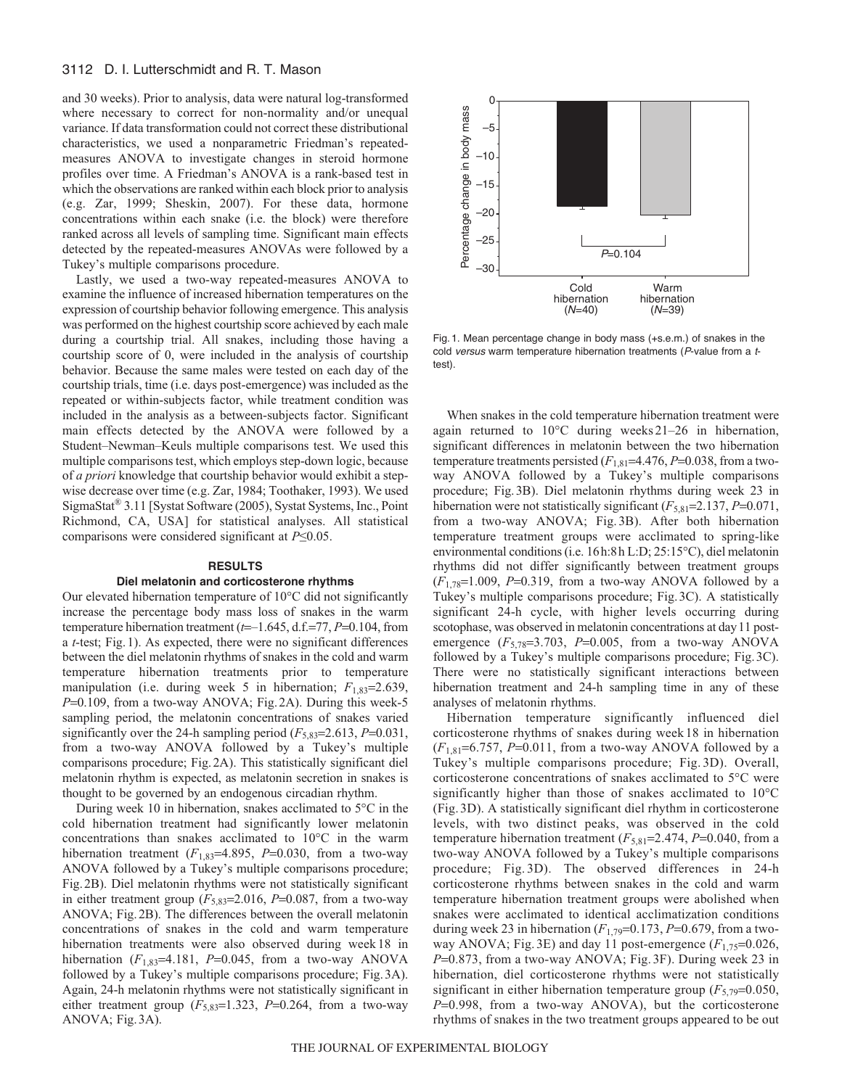## 3112 D. I. Lutterschmidt and R. T. Mason

and 30 weeks). Prior to analysis, data were natural log-transformed where necessary to correct for non-normality and/or unequal variance. If data transformation could not correct these distributional characteristics, we used a nonparametric Friedman's repeatedmeasures ANOVA to investigate changes in steroid hormone profiles over time. A Friedman's ANOVA is a rank-based test in which the observations are ranked within each block prior to analysis (e.g. Zar, 1999; Sheskin, 2007). For these data, hormone concentrations within each snake (i.e. the block) were therefore ranked across all levels of sampling time. Significant main effects detected by the repeated-measures ANOVAs were followed by a Tukey's multiple comparisons procedure.

Lastly, we used a two-way repeated-measures ANOVA to examine the influence of increased hibernation temperatures on the expression of courtship behavior following emergence. This analysis was performed on the highest courtship score achieved by each male during a courtship trial. All snakes, including those having a courtship score of 0, were included in the analysis of courtship behavior. Because the same males were tested on each day of the courtship trials, time (i.e. days post-emergence) was included as the repeated or within-subjects factor, while treatment condition was included in the analysis as a between-subjects factor. Significant main effects detected by the ANOVA were followed by a Student–Newman–Keuls multiple comparisons test. We used this multiple comparisons test, which employs step-down logic, because of *a priori* knowledge that courtship behavior would exhibit a stepwise decrease over time (e.g. Zar, 1984; Toothaker, 1993). We used SigmaStat® 3.11 [Systat Software (2005), Systat Systems, Inc., Point Richmond, CA, USA] for statistical analyses. All statistical comparisons were considered significant at *P*≤0.05.

#### **RESULTS**

## **Diel melatonin and corticosterone rhythms**

Our elevated hibernation temperature of 10°C did not significantly increase the percentage body mass loss of snakes in the warm temperature hibernation treatment (*t*=–1.645, d.f.=77, *P*=0.104, from a *t*-test; Fig.1). As expected, there were no significant differences between the diel melatonin rhythms of snakes in the cold and warm temperature hibernation treatments prior to temperature manipulation (i.e. during week 5 in hibernation; *F*1,83=2.639, *P*=0.109, from a two-way ANOVA; Fig.2A). During this week-5 sampling period, the melatonin concentrations of snakes varied significantly over the 24-h sampling period  $(F_{5,83}=2.613, P=0.031,$ from a two-way ANOVA followed by a Tukey's multiple comparisons procedure; Fig.2A). This statistically significant diel melatonin rhythm is expected, as melatonin secretion in snakes is thought to be governed by an endogenous circadian rhythm.

During week 10 in hibernation, snakes acclimated to 5°C in the cold hibernation treatment had significantly lower melatonin concentrations than snakes acclimated to 10°C in the warm hibernation treatment  $(F_{1,83}=4.895, P=0.030,$  from a two-way ANOVA followed by a Tukey's multiple comparisons procedure; Fig.2B). Diel melatonin rhythms were not statistically significant in either treatment group  $(F_{5,83}=2.016, P=0.087,$  from a two-way ANOVA; Fig.2B). The differences between the overall melatonin concentrations of snakes in the cold and warm temperature hibernation treatments were also observed during week 18 in hibernation  $(F_{1,83}=4.181, P=0.045,$  from a two-way ANOVA followed by a Tukey's multiple comparisons procedure; Fig.3A). Again, 24-h melatonin rhythms were not statistically significant in either treatment group  $(F_{5,83}=1.323, P=0.264,$  from a two-way ANOVA; Fig.3A).



Fig. 1. Mean percentage change in body mass (+s.e.m.) of snakes in the cold versus warm temperature hibernation treatments (P-value from a ttest).

When snakes in the cold temperature hibernation treatment were again returned to 10°C during weeks 21–26 in hibernation, significant differences in melatonin between the two hibernation temperature treatments persisted (*F*1,81=4.476, *P*=0.038, from a twoway ANOVA followed by a Tukey's multiple comparisons procedure; Fig.3B). Diel melatonin rhythms during week 23 in hibernation were not statistically significant ( $F_{5,81}$ =2.137, *P*=0.071, from a two-way ANOVA; Fig. 3B). After both hibernation temperature treatment groups were acclimated to spring-like environmental conditions (i.e. 16h:8h L:D; 25:15°C), diel melatonin rhythms did not differ significantly between treatment groups  $(F_{1,78}=1.009, P=0.319,$  from a two-way ANOVA followed by a Tukey's multiple comparisons procedure; Fig.3C). A statistically significant 24-h cycle, with higher levels occurring during scotophase, was observed in melatonin concentrations at day11 postemergence  $(F_{5,78}=3.703, P=0.005,$  from a two-way ANOVA followed by a Tukey's multiple comparisons procedure; Fig.3C). There were no statistically significant interactions between hibernation treatment and 24-h sampling time in any of these analyses of melatonin rhythms.

Hibernation temperature significantly influenced diel corticosterone rhythms of snakes during week18 in hibernation  $(F_{1,81}=6.757, P=0.011,$  from a two-way ANOVA followed by a Tukey's multiple comparisons procedure; Fig. 3D). Overall, corticosterone concentrations of snakes acclimated to 5°C were significantly higher than those of snakes acclimated to 10°C (Fig.3D). A statistically significant diel rhythm in corticosterone levels, with two distinct peaks, was observed in the cold temperature hibernation treatment  $(F_{5,81}=2.474, P=0.040,$  from a two-way ANOVA followed by a Tukey's multiple comparisons procedure; Fig. 3D). The observed differences in 24-h corticosterone rhythms between snakes in the cold and warm temperature hibernation treatment groups were abolished when snakes were acclimated to identical acclimatization conditions during week 23 in hibernation  $(F_{1,79}=0.173, P=0.679,$  from a twoway ANOVA; Fig.3E) and day 11 post-emergence (*F*1,75=0.026, *P*=0.873, from a two-way ANOVA; Fig.3F). During week 23 in hibernation, diel corticosterone rhythms were not statistically significant in either hibernation temperature group  $(F_{5,79}=0.050,$ *P*=0.998, from a two-way ANOVA), but the corticosterone rhythms of snakes in the two treatment groups appeared to be out Percentage change in body mass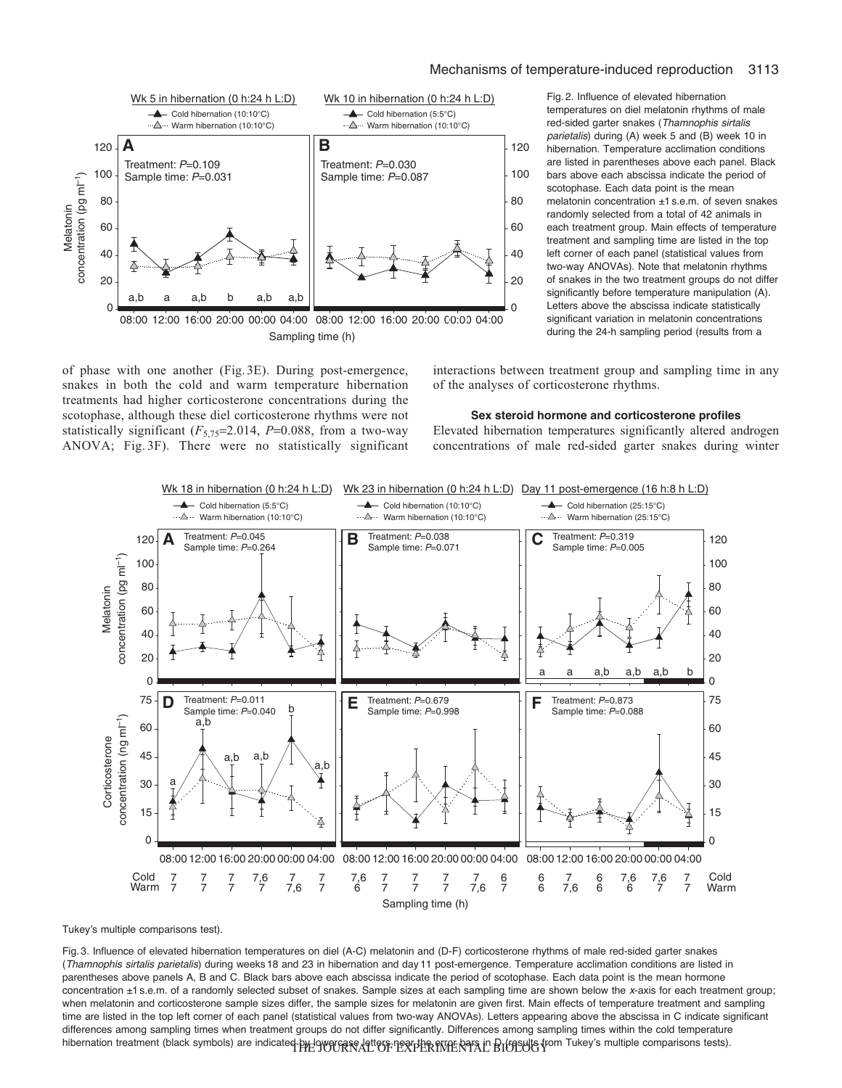# Mechanisms of temperature-induced reproduction 3113



temperatures on diel melatonin rhythms of male red-sided garter snakes (Thamnophis sirtalis parietalis) during (A) week 5 and (B) week 10 in hibernation. Temperature acclimation conditions are listed in parentheses above each panel. Black bars above each abscissa indicate the period of scotophase. Each data point is the mean melatonin concentration ±1 s.e.m. of seven snakes randomly selected from a total of 42 animals in each treatment group. Main effects of temperature treatment and sampling time are listed in the top left corner of each panel (statistical values from two-way ANOVAs). Note that melatonin rhythms of snakes in the two treatment groups do not differ significantly before temperature manipulation (A). Letters above the abscissa indicate statistically significant variation in melatonin concentrations during the 24-h sampling period (results from a

of phase with one another (Fig.3E). During post-emergence, snakes in both the cold and warm temperature hibernation treatments had higher corticosterone concentrations during the scotophase, although these diel corticosterone rhythms were not statistically significant  $(F_{5,75}=2.014, P=0.088,$  from a two-way ANOVA; Fig. 3F). There were no statistically significant interactions between treatment group and sampling time in any of the analyses of corticosterone rhythms.

#### **Sex steroid hormone and corticosterone profiles**

Elevated hibernation temperatures significantly altered androgen concentrations of male red-sided garter snakes during winter



Tukey's multiple comparisons test).

Fig. 3. Influence of elevated hibernation temperatures on diel (A-C) melatonin and (D-F) corticosterone rhythms of male red-sided garter snakes (Thamnophis sirtalis parietalis) during weeks 18 and 23 in hibernation and day 11 post-emergence. Temperature acclimation conditions are listed in parentheses above panels A, B and C. Black bars above each abscissa indicate the period of scotophase. Each data point is the mean hormone concentration ±1 s.e.m. of a randomly selected subset of snakes. Sample sizes at each sampling time are shown below the x-axis for each treatment group; when melatonin and corticosterone sample sizes differ, the sample sizes for melatonin are given first. Main effects of temperature treatment and sampling time are listed in the top left corner of each panel (statistical values from two-way ANOVAs). Letters appearing above the abscissa in C indicate significant differences among sampling times when treatment groups do not differ significantly. Differences among sampling times within the cold temperature hibernation treatment (black symbols) are indicated by lowercase letters near the error bars in D (results from Tukey's multiple comparisons tests).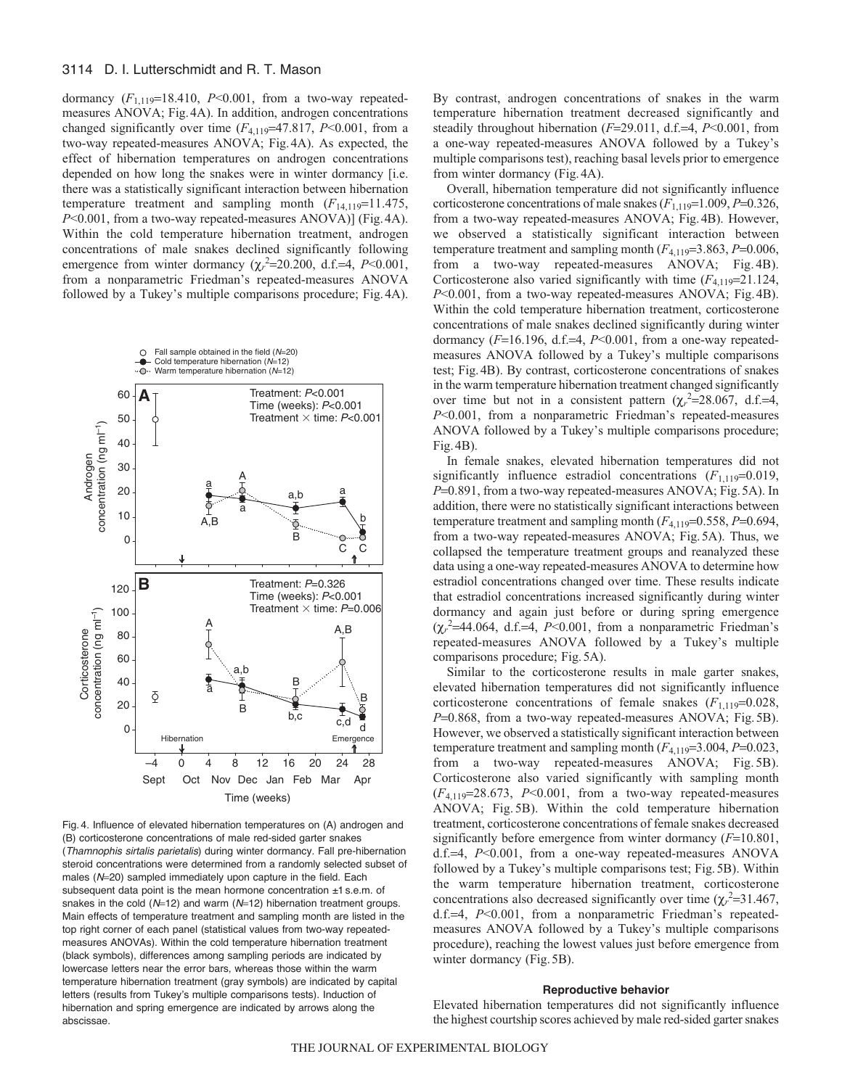dormancy (*F*1,119=18.410, *P*<0.001, from a two-way repeatedmeasures ANOVA; Fig.4A). In addition, androgen concentrations changed significantly over time  $(F_{4,119}=47.817, P<0.001,$  from a two-way repeated-measures ANOVA; Fig.4A). As expected, the effect of hibernation temperatures on androgen concentrations depended on how long the snakes were in winter dormancy [i.e. there was a statistically significant interaction between hibernation temperature treatment and sampling month  $(F_{14,119}=11.475)$ , *P*<0.001, from a two-way repeated-measures ANOVA)] (Fig.4A). Within the cold temperature hibernation treatment, androgen concentrations of male snakes declined significantly following emergence from winter dormancy  $(\chi_r^2 = 20.200, d.f.=4, P < 0.001,$ from a nonparametric Friedman's repeated-measures ANOVA followed by a Tukey's multiple comparisons procedure; Fig.4A).



Fig. 4. Influence of elevated hibernation temperatures on (A) androgen and (B) corticosterone concentrations of male red-sided garter snakes (Thamnophis sirtalis parietalis) during winter dormancy. Fall pre-hibernation steroid concentrations were determined from a randomly selected subset of males (N=20) sampled immediately upon capture in the field. Each subsequent data point is the mean hormone concentration ±1 s.e.m. of snakes in the cold  $(N=12)$  and warm  $(N=12)$  hibernation treatment groups. Main effects of temperature treatment and sampling month are listed in the top right corner of each panel (statistical values from two-way repeatedmeasures ANOVAs). Within the cold temperature hibernation treatment (black symbols), differences among sampling periods are indicated by lowercase letters near the error bars, whereas those within the warm temperature hibernation treatment (gray symbols) are indicated by capital letters (results from Tukey's multiple comparisons tests). Induction of hibernation and spring emergence are indicated by arrows along the abscissae.

By contrast, androgen concentrations of snakes in the warm temperature hibernation treatment decreased significantly and steadily throughout hibernation (*F*=29.011, d.f.=4, *P*<0.001, from a one-way repeated-measures ANOVA followed by a Tukey's multiple comparisons test), reaching basal levels prior to emergence from winter dormancy (Fig.4A).

Overall, hibernation temperature did not significantly influence corticosterone concentrations of male snakes (*F*1,119=1.009, *P*=0.326, from a two-way repeated-measures ANOVA; Fig.4B). However, we observed a statistically significant interaction between temperature treatment and sampling month  $(F_{4,119}=3.863, P=0.006,$ from a two-way repeated-measures ANOVA; Fig. 4B). Corticosterone also varied significantly with time (*F*4,119=21.124, *P*<0.001, from a two-way repeated-measures ANOVA; Fig.4B). Within the cold temperature hibernation treatment, corticosterone concentrations of male snakes declined significantly during winter dormancy (*F*=16.196, d.f.=4, *P*<0.001, from a one-way repeatedmeasures ANOVA followed by a Tukey's multiple comparisons test; Fig.4B). By contrast, corticosterone concentrations of snakes in the warm temperature hibernation treatment changed significantly over time but not in a consistent pattern  $(\chi_r^2 = 28.067, d.f.=4,$ *P*<0.001, from a nonparametric Friedman's repeated-measures ANOVA followed by a Tukey's multiple comparisons procedure; Fig.4B).

In female snakes, elevated hibernation temperatures did not significantly influence estradiol concentrations  $(F_{1,119}=0.019)$ , *P*=0.891, from a two-way repeated-measures ANOVA; Fig.5A). In addition, there were no statistically significant interactions between temperature treatment and sampling month  $(F_{4,119}=0.558, P=0.694,$ from a two-way repeated-measures ANOVA; Fig.5A). Thus, we collapsed the temperature treatment groups and reanalyzed these data using a one-way repeated-measures ANOVA to determine how estradiol concentrations changed over time. These results indicate that estradiol concentrations increased significantly during winter dormancy and again just before or during spring emergence (χ*r* 2 =44.064, d.f.=4, *P*<0.001, from a nonparametric Friedman's repeated-measures ANOVA followed by a Tukey's multiple comparisons procedure; Fig.5A).

Similar to the corticosterone results in male garter snakes, elevated hibernation temperatures did not significantly influence corticosterone concentrations of female snakes  $(F_{1,119}=0.028,$ *P*=0.868, from a two-way repeated-measures ANOVA; Fig.5B). However, we observed a statistically significant interaction between temperature treatment and sampling month (*F*4,119=3.004, *P*=0.023, from a two-way repeated-measures ANOVA; Fig. 5B). Corticosterone also varied significantly with sampling month (*F*4,119=28.673, *P*<0.001, from a two-way repeated-measures ANOVA; Fig. 5B). Within the cold temperature hibernation treatment, corticosterone concentrations of female snakes decreased significantly before emergence from winter dormancy (*F*=10.801, d.f.=4, *P*<0.001, from a one-way repeated-measures ANOVA followed by a Tukey's multiple comparisons test; Fig.5B). Within the warm temperature hibernation treatment, corticosterone concentrations also decreased significantly over time  $(\chi_r^2 = 31.467)$ , d.f.=4, *P*<0.001, from a nonparametric Friedman's repeatedmeasures ANOVA followed by a Tukey's multiple comparisons procedure), reaching the lowest values just before emergence from winter dormancy (Fig. 5B).

#### **Reproductive behavior**

Elevated hibernation temperatures did not significantly influence the highest courtship scores achieved by male red-sided garter snakes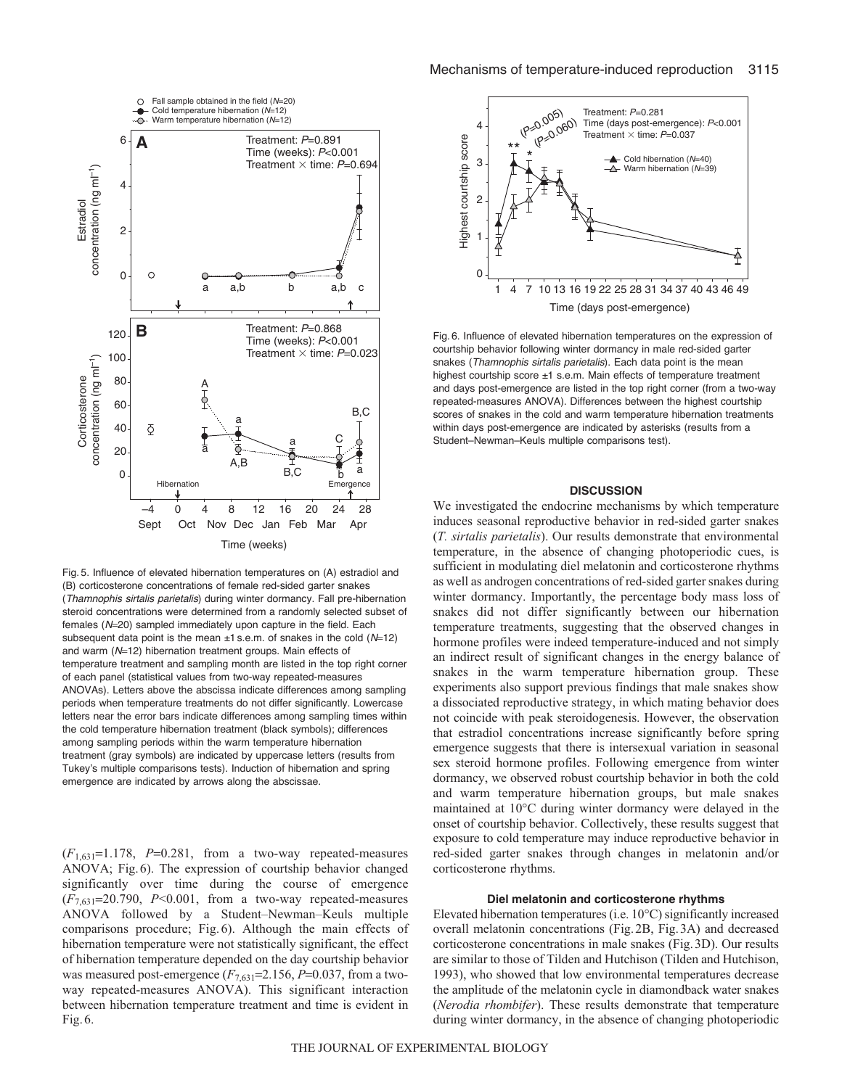

Fig. 5. Influence of elevated hibernation temperatures on (A) estradiol and (B) corticosterone concentrations of female red-sided garter snakes (Thamnophis sirtalis parietalis) during winter dormancy. Fall pre-hibernation steroid concentrations were determined from a randomly selected subset of females (N=20) sampled immediately upon capture in the field. Each subsequent data point is the mean  $\pm 1$  s.e.m. of snakes in the cold ( $N=12$ ) and warm (N=12) hibernation treatment groups. Main effects of temperature treatment and sampling month are listed in the top right corner of each panel (statistical values from two-way repeated-measures ANOVAs). Letters above the abscissa indicate differences among sampling periods when temperature treatments do not differ significantly. Lowercase letters near the error bars indicate differences among sampling times within the cold temperature hibernation treatment (black symbols); differences among sampling periods within the warm temperature hibernation treatment (gray symbols) are indicated by uppercase letters (results from Tukey's multiple comparisons tests). Induction of hibernation and spring emergence are indicated by arrows along the abscissae.

(*F*1,631=1.178, *P*=0.281, from a two-way repeated-measures ANOVA; Fig.6). The expression of courtship behavior changed significantly over time during the course of emergence  $(F_{7.631} = 20.790, P \le 0.001,$  from a two-way repeated-measures ANOVA followed by a Student–Newman–Keuls multiple comparisons procedure; Fig. 6). Although the main effects of hibernation temperature were not statistically significant, the effect of hibernation temperature depended on the day courtship behavior was measured post-emergence  $(F_{7,631}=2.156, P=0.037,$  from a twoway repeated-measures ANOVA). This significant interaction between hibernation temperature treatment and time is evident in Fig.6.



Fig. 6. Influence of elevated hibernation temperatures on the expression of courtship behavior following winter dormancy in male red-sided garter snakes (Thamnophis sirtalis parietalis). Each data point is the mean highest courtship score ±1 s.e.m. Main effects of temperature treatment and days post-emergence are listed in the top right corner (from a two-way repeated-measures ANOVA). Differences between the highest courtship scores of snakes in the cold and warm temperature hibernation treatments within days post-emergence are indicated by asterisks (results from a Student–Newman–Keuls multiple comparisons test).

#### **DISCUSSION**

We investigated the endocrine mechanisms by which temperature induces seasonal reproductive behavior in red-sided garter snakes (*T. sirtalis parietalis*). Our results demonstrate that environmental temperature, in the absence of changing photoperiodic cues, is sufficient in modulating diel melatonin and corticosterone rhythms as well as androgen concentrations of red-sided garter snakes during winter dormancy. Importantly, the percentage body mass loss of snakes did not differ significantly between our hibernation temperature treatments, suggesting that the observed changes in hormone profiles were indeed temperature-induced and not simply an indirect result of significant changes in the energy balance of snakes in the warm temperature hibernation group. These experiments also support previous findings that male snakes show a dissociated reproductive strategy, in which mating behavior does not coincide with peak steroidogenesis. However, the observation that estradiol concentrations increase significantly before spring emergence suggests that there is intersexual variation in seasonal sex steroid hormone profiles. Following emergence from winter dormancy, we observed robust courtship behavior in both the cold and warm temperature hibernation groups, but male snakes maintained at 10°C during winter dormancy were delayed in the onset of courtship behavior. Collectively, these results suggest that exposure to cold temperature may induce reproductive behavior in red-sided garter snakes through changes in melatonin and/or corticosterone rhythms.

## **Diel melatonin and corticosterone rhythms**

Elevated hibernation temperatures (i.e. 10°C) significantly increased overall melatonin concentrations (Fig.2B, Fig.3A) and decreased corticosterone concentrations in male snakes (Fig.3D). Our results are similar to those of Tilden and Hutchison (Tilden and Hutchison, 1993), who showed that low environmental temperatures decrease the amplitude of the melatonin cycle in diamondback water snakes (*Nerodia rhombifer*). These results demonstrate that temperature during winter dormancy, in the absence of changing photoperiodic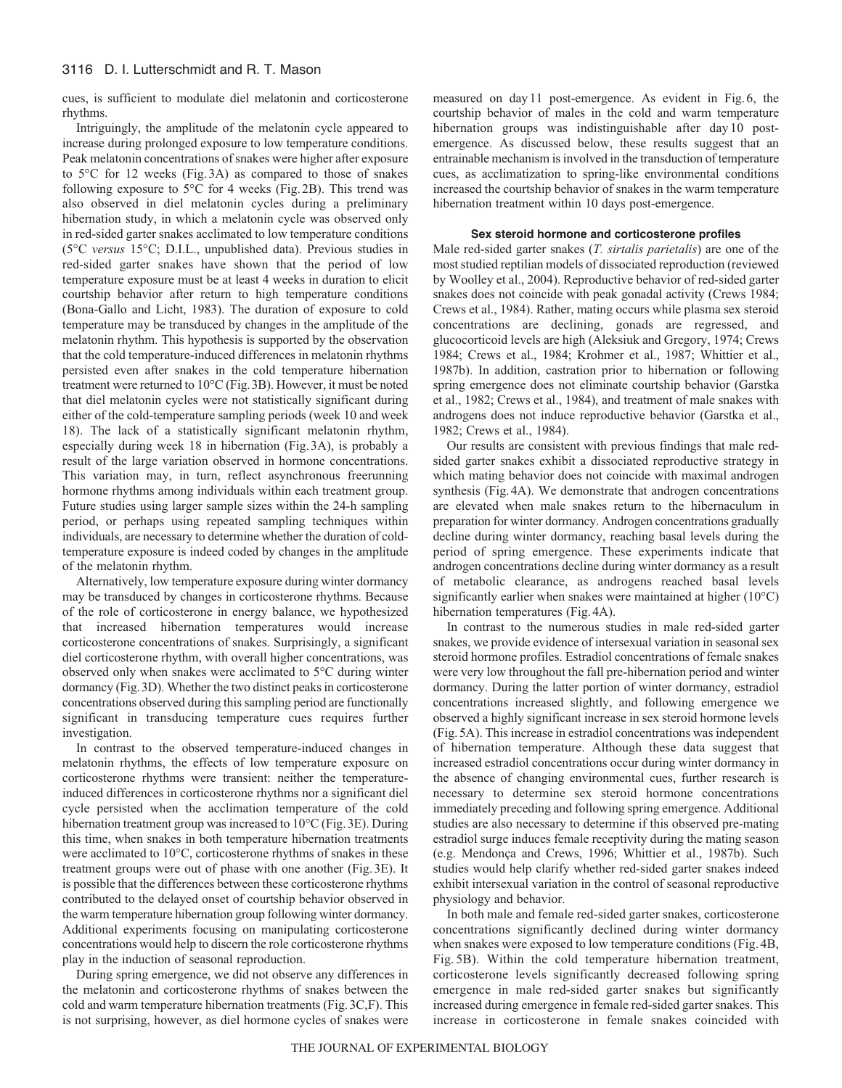cues, is sufficient to modulate diel melatonin and corticosterone rhythms.

Intriguingly, the amplitude of the melatonin cycle appeared to increase during prolonged exposure to low temperature conditions. Peak melatonin concentrations of snakes were higher after exposure to 5°C for 12 weeks (Fig.3A) as compared to those of snakes following exposure to 5°C for 4 weeks (Fig.2B). This trend was also observed in diel melatonin cycles during a preliminary hibernation study, in which a melatonin cycle was observed only in red-sided garter snakes acclimated to low temperature conditions (5°C *versus* 15°C; D.I.L., unpublished data). Previous studies in red-sided garter snakes have shown that the period of low temperature exposure must be at least 4 weeks in duration to elicit courtship behavior after return to high temperature conditions (Bona-Gallo and Licht, 1983). The duration of exposure to cold temperature may be transduced by changes in the amplitude of the melatonin rhythm. This hypothesis is supported by the observation that the cold temperature-induced differences in melatonin rhythms persisted even after snakes in the cold temperature hibernation treatment were returned to 10°C (Fig.3B). However, it must be noted that diel melatonin cycles were not statistically significant during either of the cold-temperature sampling periods (week 10 and week 18). The lack of a statistically significant melatonin rhythm, especially during week 18 in hibernation (Fig.3A), is probably a result of the large variation observed in hormone concentrations. This variation may, in turn, reflect asynchronous freerunning hormone rhythms among individuals within each treatment group. Future studies using larger sample sizes within the 24-h sampling period, or perhaps using repeated sampling techniques within individuals, are necessary to determine whether the duration of coldtemperature exposure is indeed coded by changes in the amplitude of the melatonin rhythm.

Alternatively, low temperature exposure during winter dormancy may be transduced by changes in corticosterone rhythms. Because of the role of corticosterone in energy balance, we hypothesized that increased hibernation temperatures would increase corticosterone concentrations of snakes. Surprisingly, a significant diel corticosterone rhythm, with overall higher concentrations, was observed only when snakes were acclimated to 5°C during winter dormancy (Fig.3D). Whether the two distinct peaks in corticosterone concentrations observed during this sampling period are functionally significant in transducing temperature cues requires further investigation.

In contrast to the observed temperature-induced changes in melatonin rhythms, the effects of low temperature exposure on corticosterone rhythms were transient: neither the temperatureinduced differences in corticosterone rhythms nor a significant diel cycle persisted when the acclimation temperature of the cold hibernation treatment group was increased to 10°C (Fig. 3E). During this time, when snakes in both temperature hibernation treatments were acclimated to 10°C, corticosterone rhythms of snakes in these treatment groups were out of phase with one another (Fig.3E). It is possible that the differences between these corticosterone rhythms contributed to the delayed onset of courtship behavior observed in the warm temperature hibernation group following winter dormancy. Additional experiments focusing on manipulating corticosterone concentrations would help to discern the role corticosterone rhythms play in the induction of seasonal reproduction.

During spring emergence, we did not observe any differences in the melatonin and corticosterone rhythms of snakes between the cold and warm temperature hibernation treatments (Fig.3C,F). This is not surprising, however, as diel hormone cycles of snakes were measured on day11 post-emergence. As evident in Fig.6, the courtship behavior of males in the cold and warm temperature hibernation groups was indistinguishable after day 10 postemergence. As discussed below, these results suggest that an entrainable mechanism is involved in the transduction of temperature cues, as acclimatization to spring-like environmental conditions increased the courtship behavior of snakes in the warm temperature hibernation treatment within 10 days post-emergence.

#### **Sex steroid hormone and corticosterone profiles**

Male red-sided garter snakes (*T. sirtalis parietalis*) are one of the most studied reptilian models of dissociated reproduction (reviewed by Woolley et al., 2004). Reproductive behavior of red-sided garter snakes does not coincide with peak gonadal activity (Crews 1984; Crews et al., 1984). Rather, mating occurs while plasma sex steroid concentrations are declining, gonads are regressed, and glucocorticoid levels are high (Aleksiuk and Gregory, 1974; Crews 1984; Crews et al., 1984; Krohmer et al., 1987; Whittier et al., 1987b). In addition, castration prior to hibernation or following spring emergence does not eliminate courtship behavior (Garstka et al., 1982; Crews et al., 1984), and treatment of male snakes with androgens does not induce reproductive behavior (Garstka et al., 1982; Crews et al., 1984).

Our results are consistent with previous findings that male redsided garter snakes exhibit a dissociated reproductive strategy in which mating behavior does not coincide with maximal androgen synthesis (Fig.4A). We demonstrate that androgen concentrations are elevated when male snakes return to the hibernaculum in preparation for winter dormancy. Androgen concentrations gradually decline during winter dormancy, reaching basal levels during the period of spring emergence. These experiments indicate that androgen concentrations decline during winter dormancy as a result of metabolic clearance, as androgens reached basal levels significantly earlier when snakes were maintained at higher (10°C) hibernation temperatures (Fig.4A).

In contrast to the numerous studies in male red-sided garter snakes, we provide evidence of intersexual variation in seasonal sex steroid hormone profiles. Estradiol concentrations of female snakes were very low throughout the fall pre-hibernation period and winter dormancy. During the latter portion of winter dormancy, estradiol concentrations increased slightly, and following emergence we observed a highly significant increase in sex steroid hormone levels (Fig.5A). This increase in estradiol concentrations was independent of hibernation temperature. Although these data suggest that increased estradiol concentrations occur during winter dormancy in the absence of changing environmental cues, further research is necessary to determine sex steroid hormone concentrations immediately preceding and following spring emergence. Additional studies are also necessary to determine if this observed pre-mating estradiol surge induces female receptivity during the mating season (e.g. Mendonça and Crews, 1996; Whittier et al., 1987b). Such studies would help clarify whether red-sided garter snakes indeed exhibit intersexual variation in the control of seasonal reproductive physiology and behavior.

In both male and female red-sided garter snakes, corticosterone concentrations significantly declined during winter dormancy when snakes were exposed to low temperature conditions (Fig. 4B, Fig. 5B). Within the cold temperature hibernation treatment, corticosterone levels significantly decreased following spring emergence in male red-sided garter snakes but significantly increased during emergence in female red-sided garter snakes. This increase in corticosterone in female snakes coincided with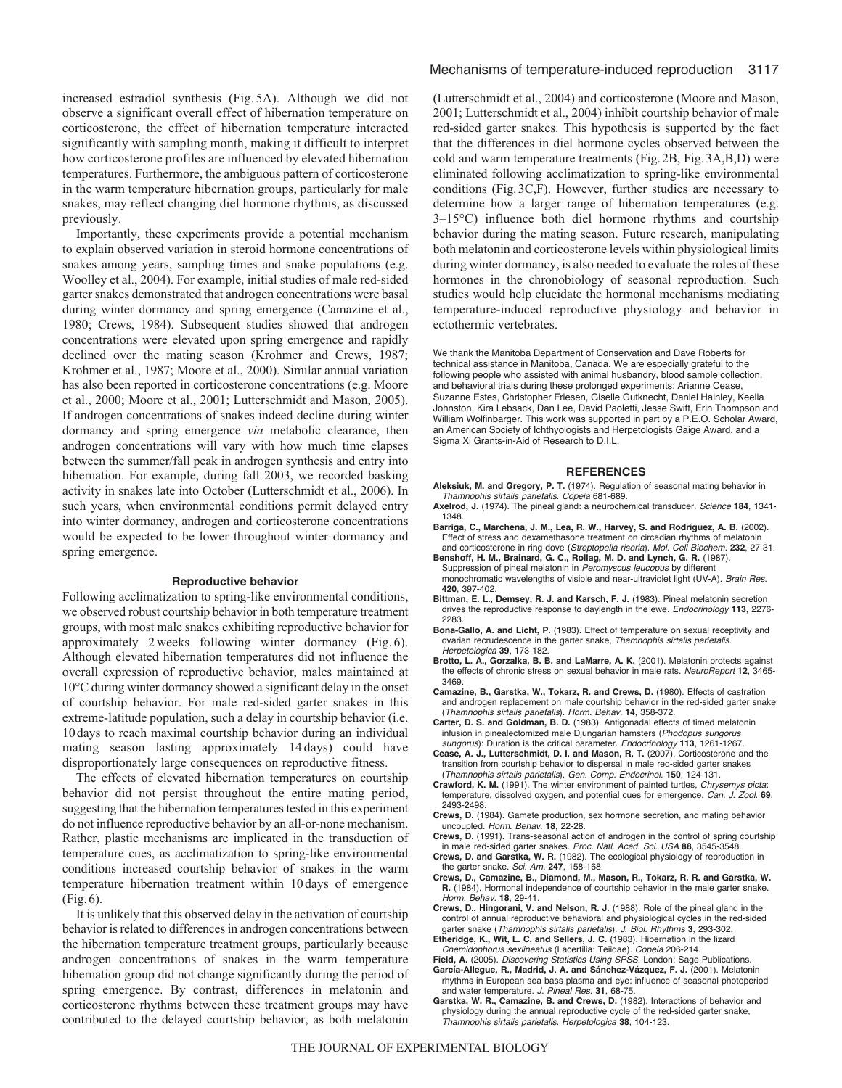increased estradiol synthesis (Fig. 5A). Although we did not observe a significant overall effect of hibernation temperature on corticosterone, the effect of hibernation temperature interacted significantly with sampling month, making it difficult to interpret how corticosterone profiles are influenced by elevated hibernation temperatures. Furthermore, the ambiguous pattern of corticosterone in the warm temperature hibernation groups, particularly for male snakes, may reflect changing diel hormone rhythms, as discussed previously.

Importantly, these experiments provide a potential mechanism to explain observed variation in steroid hormone concentrations of snakes among years, sampling times and snake populations (e.g. Woolley et al., 2004). For example, initial studies of male red-sided garter snakes demonstrated that androgen concentrations were basal during winter dormancy and spring emergence (Camazine et al., 1980; Crews, 1984). Subsequent studies showed that androgen concentrations were elevated upon spring emergence and rapidly declined over the mating season (Krohmer and Crews, 1987; Krohmer et al., 1987; Moore et al., 2000). Similar annual variation has also been reported in corticosterone concentrations (e.g. Moore et al., 2000; Moore et al., 2001; Lutterschmidt and Mason, 2005). If androgen concentrations of snakes indeed decline during winter dormancy and spring emergence *via* metabolic clearance, then androgen concentrations will vary with how much time elapses between the summer/fall peak in androgen synthesis and entry into hibernation. For example, during fall 2003, we recorded basking activity in snakes late into October (Lutterschmidt et al., 2006). In such years, when environmental conditions permit delayed entry into winter dormancy, androgen and corticosterone concentrations would be expected to be lower throughout winter dormancy and spring emergence.

#### **Reproductive behavior**

Following acclimatization to spring-like environmental conditions, we observed robust courtship behavior in both temperature treatment groups, with most male snakes exhibiting reproductive behavior for approximately 2 weeks following winter dormancy (Fig. 6). Although elevated hibernation temperatures did not influence the overall expression of reproductive behavior, males maintained at 10°C during winter dormancy showed a significant delay in the onset of courtship behavior. For male red-sided garter snakes in this extreme-latitude population, such a delay in courtship behavior (i.e. 10days to reach maximal courtship behavior during an individual mating season lasting approximately 14 days) could have disproportionately large consequences on reproductive fitness.

The effects of elevated hibernation temperatures on courtship behavior did not persist throughout the entire mating period, suggesting that the hibernation temperatures tested in this experiment do not influence reproductive behavior by an all-or-none mechanism. Rather, plastic mechanisms are implicated in the transduction of temperature cues, as acclimatization to spring-like environmental conditions increased courtship behavior of snakes in the warm temperature hibernation treatment within 10days of emergence (Fig.6).

It is unlikely that this observed delay in the activation of courtship behavior is related to differences in androgen concentrations between the hibernation temperature treatment groups, particularly because androgen concentrations of snakes in the warm temperature hibernation group did not change significantly during the period of spring emergence. By contrast, differences in melatonin and corticosterone rhythms between these treatment groups may have contributed to the delayed courtship behavior, as both melatonin

## Mechanisms of temperature-induced reproduction 3117

(Lutterschmidt et al., 2004) and corticosterone (Moore and Mason, 2001; Lutterschmidt et al., 2004) inhibit courtship behavior of male red-sided garter snakes. This hypothesis is supported by the fact that the differences in diel hormone cycles observed between the cold and warm temperature treatments (Fig.2B, Fig.3A,B,D) were eliminated following acclimatization to spring-like environmental conditions (Fig.3C,F). However, further studies are necessary to determine how a larger range of hibernation temperatures (e.g. 3–15°C) influence both diel hormone rhythms and courtship behavior during the mating season. Future research, manipulating both melatonin and corticosterone levels within physiological limits during winter dormancy, is also needed to evaluate the roles of these hormones in the chronobiology of seasonal reproduction. Such studies would help elucidate the hormonal mechanisms mediating temperature-induced reproductive physiology and behavior in ectothermic vertebrates.

We thank the Manitoba Department of Conservation and Dave Roberts for technical assistance in Manitoba, Canada. We are especially grateful to the following people who assisted with animal husbandry, blood sample collection, and behavioral trials during these prolonged experiments: Arianne Cease, Suzanne Estes, Christopher Friesen, Giselle Gutknecht, Daniel Hainley, Keelia Johnston, Kira Lebsack, Dan Lee, David Paoletti, Jesse Swift, Erin Thompson and William Wolfinbarger. This work was supported in part by a P.E.O. Scholar Award, an American Society of Ichthyologists and Herpetologists Gaige Award, and a Sigma Xi Grants-in-Aid of Research to D.I.L.

#### **REFERENCES**

- **Aleksiuk, M. and Gregory, P. T.** (1974). Regulation of seasonal mating behavior in Thamnophis sirtalis parietalis. Copeia 681-689.
- **Axelrod, J.** (1974). The pineal gland: a neurochemical transducer. Science **184**, 1341- 1348.
- **Barriga, C., Marchena, J. M., Lea, R. W., Harvey, S. and Rodríguez, A. B.** (2002). Effect of stress and dexamethasone treatment on circadian rhythms of melatonin
- and corticosterone in ring dove (Streptopelia risoria). Mol. Cell Biochem. **232**, 27-31. **Benshoff, H. M., Brainard, G. C., Rollag, M. D. and Lynch, G. R.** (1987). Suppression of pineal melatonin in Peromyscus leucopus by different monochromatic wavelengths of visible and near-ultraviolet light (UV-A). Brain Res.
- **420**, 397-402. **Bittman, E. L., Demsey, R. J. and Karsch, F. J.** (1983). Pineal melatonin secretion drives the reproductive response to daylength in the ewe. Endocrinology **113**, 2276-
- 2283. **Bona-Gallo, A. and Licht, P.** (1983). Effect of temperature on sexual receptivity and ovarian recrudescence in the garter snake, Thamnophis sirtalis parietalis. Herpetologica **39**, 173-182.
- **Brotto, L. A., Gorzalka, B. B. and LaMarre, A. K.** (2001). Melatonin protects against the effects of chronic stress on sexual behavior in male rats. NeuroReport **12**, 3465- 3469.
- **Camazine, B., Garstka, W., Tokarz, R. and Crews, D.** (1980). Effects of castration and androgen replacement on male courtship behavior in the red-sided garter snake (Thamnophis sirtalis parietalis). Horm. Behav. **14**, 358-372.
- **Carter, D. S. and Goldman, B. D.** (1983). Antigonadal effects of timed melatonin infusion in pinealectomized male Djungarian hamsters (Phodopus sungorus sungorus): Duration is the critical parameter. Endocrinology **113**, 1261-1267.
- **Cease, A. J., Lutterschmidt, D. I. and Mason, R. T.** (2007). Corticosterone and the transition from courtship behavior to dispersal in male red-sided garter snakes (Thamnophis sirtalis parietalis). Gen. Comp. Endocrinol. **150**, 124-131.
- **Crawford, K. M.** (1991). The winter environment of painted turtles, Chrysemys picta: temperature, dissolved oxygen, and potential cues for emergence. Can. J. Zool. **69**, 2493-2498.
- **Crews, D.** (1984). Gamete production, sex hormone secretion, and mating behavior uncoupled. Horm. Behav. **18**, 22-28.
- **Crews, D.** (1991). Trans-seasonal action of androgen in the control of spring courtship in male red-sided garter snakes. Proc. Natl. Acad. Sci. USA **88**, 3545-3548.
- **Crews, D. and Garstka, W. R.** (1982). The ecological physiology of reproduction in the garter snake. Sci. Am. **247**, 158-168.
- **Crews, D., Camazine, B., Diamond, M., Mason, R., Tokarz, R. R. and Garstka, W. R.** (1984). Hormonal independence of courtship behavior in the male garter snake. Horm. Behav. **18**, 29-41.
- **Crews, D., Hingorani, V. and Nelson, R. J.** (1988). Role of the pineal gland in the control of annual reproductive behavioral and physiological cycles in the red-sided garter snake (Thamnophis sirtalis parietalis). J. Biol. Rhythms **3**, 293-302.
- **Etheridge, K., Wit, L. C. and Sellers, J. C.** (1983). Hibernation in the lizard Cnemidophorus sexlineatus (Lacertilia: Teiidae). Copeia 206-214.
- Field, A. (2005). Discovering Statistics Using SPSS. London: Sage Publications. **García-Allegue, R., Madrid, J. A. and Sánchez-Vázquez, F. J.** (2001). Melatonin rhythms in European sea bass plasma and eye: influence of seasonal photoperiod and water temperature. J. Pineal Res. **31**, 68-75.
- **Garstka, W. R., Camazine, B. and Crews, D.** (1982). Interactions of behavior and physiology during the annual reproductive cycle of the red-sided garter snake, Thamnophis sirtalis parietalis. Herpetologica **38**, 104-123.